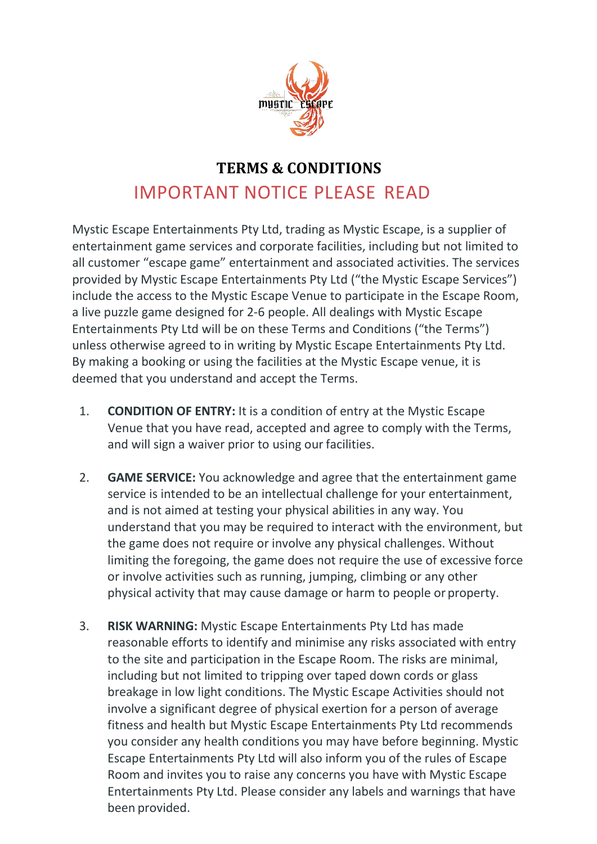

## **TERMS & CONDITIONS** IMPORTANT NOTICE PLEASE READ

Mystic Escape Entertainments Pty Ltd, trading as Mystic Escape, is a supplier of entertainment game services and corporate facilities, including but not limited to all customer "escape game" entertainment and associated activities. The services provided by Mystic Escape Entertainments Pty Ltd ("the Mystic Escape Services") include the access to the Mystic Escape Venue to participate in the Escape Room, a live puzzle game designed for 2-6 people. All dealings with Mystic Escape Entertainments Pty Ltd will be on these Terms and Conditions ("the Terms") unless otherwise agreed to in writing by Mystic Escape Entertainments Pty Ltd. By making a booking or using the facilities at the Mystic Escape venue, it is deemed that you understand and accept the Terms.

- 1. **CONDITION OF ENTRY:** It is a condition of entry at the Mystic Escape Venue that you have read, accepted and agree to comply with the Terms, and will sign a waiver prior to using our facilities.
- 2. **GAME SERVICE:** You acknowledge and agree that the entertainment game service is intended to be an intellectual challenge for your entertainment, and is not aimed at testing your physical abilities in any way. You understand that you may be required to interact with the environment, but the game does not require or involve any physical challenges. Without limiting the foregoing, the game does not require the use of excessive force or involve activities such as running, jumping, climbing or any other physical activity that may cause damage or harm to people or property.
- 3. **RISK WARNING:** Mystic Escape Entertainments Pty Ltd has made reasonable efforts to identify and minimise any risks associated with entry to the site and participation in the Escape Room. The risks are minimal, including but not limited to tripping over taped down cords or glass breakage in low light conditions. The Mystic Escape Activities should not involve a significant degree of physical exertion for a person of average fitness and health but Mystic Escape Entertainments Pty Ltd recommends you consider any health conditions you may have before beginning. Mystic Escape Entertainments Pty Ltd will also inform you of the rules of Escape Room and invites you to raise any concerns you have with Mystic Escape Entertainments Pty Ltd. Please consider any labels and warnings that have been provided.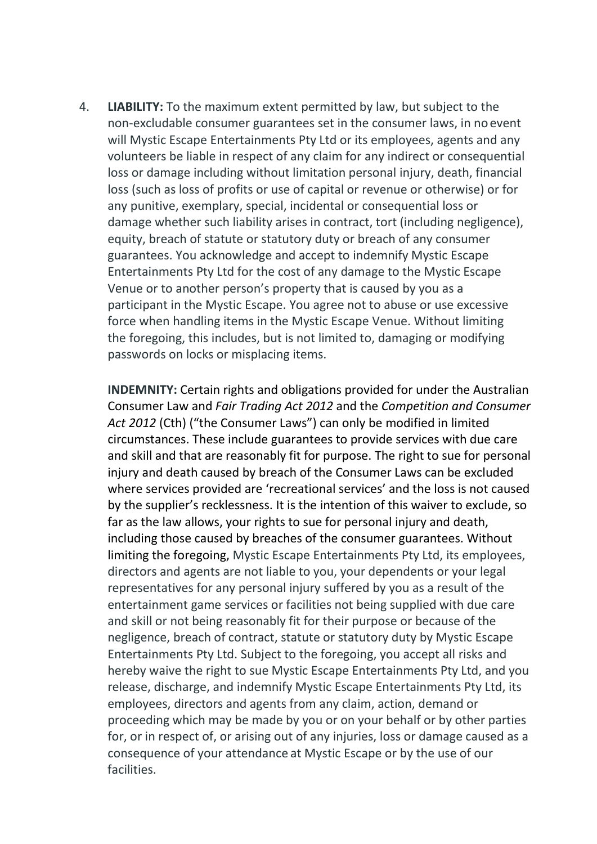4. **LIABILITY:** To the maximum extent permitted by law, but subject to the non-excludable consumer guarantees set in the consumer laws, in noevent will Mystic Escape Entertainments Pty Ltd or its employees, agents and any volunteers be liable in respect of any claim for any indirect or consequential loss or damage including without limitation personal injury, death, financial loss (such as loss of profits or use of capital or revenue or otherwise) or for any punitive, exemplary, special, incidental or consequential loss or damage whether such liability arises in contract, tort (including negligence), equity, breach of statute or statutory duty or breach of any consumer guarantees. You acknowledge and accept to indemnify Mystic Escape Entertainments Pty Ltd for the cost of any damage to the Mystic Escape Venue or to another person's property that is caused by you as a participant in the Mystic Escape. You agree not to abuse or use excessive force when handling items in the Mystic Escape Venue. Without limiting the foregoing, this includes, but is not limited to, damaging or modifying passwords on locks or misplacing items.

**INDEMNITY:** Certain rights and obligations provided for under the Australian Consumer Law and *Fair Trading Act 2012* and the *Competition and Consumer Act 2012* (Cth) ("the Consumer Laws") can only be modified in limited circumstances. These include guarantees to provide services with due care and skill and that are reasonably fit for purpose. The right to sue for personal injury and death caused by breach of the Consumer Laws can be excluded where services provided are 'recreational services' and the loss is not caused by the supplier's recklessness. It is the intention of this waiver to exclude, so far as the law allows, your rights to sue for personal injury and death, including those caused by breaches of the consumer guarantees. Without limiting the foregoing, Mystic Escape Entertainments Pty Ltd, its employees, directors and agents are not liable to you, your dependents or your legal representatives for any personal injury suffered by you as a result of the entertainment game services or facilities not being supplied with due care and skill or not being reasonably fit for their purpose or because of the negligence, breach of contract, statute or statutory duty by Mystic Escape Entertainments Pty Ltd. Subject to the foregoing, you accept all risks and hereby waive the right to sue Mystic Escape Entertainments Pty Ltd, and you release, discharge, and indemnify Mystic Escape Entertainments Pty Ltd, its employees, directors and agents from any claim, action, demand or proceeding which may be made by you or on your behalf or by other parties for, or in respect of, or arising out of any injuries, loss or damage caused as a consequence of your attendance at Mystic Escape or by the use of our facilities.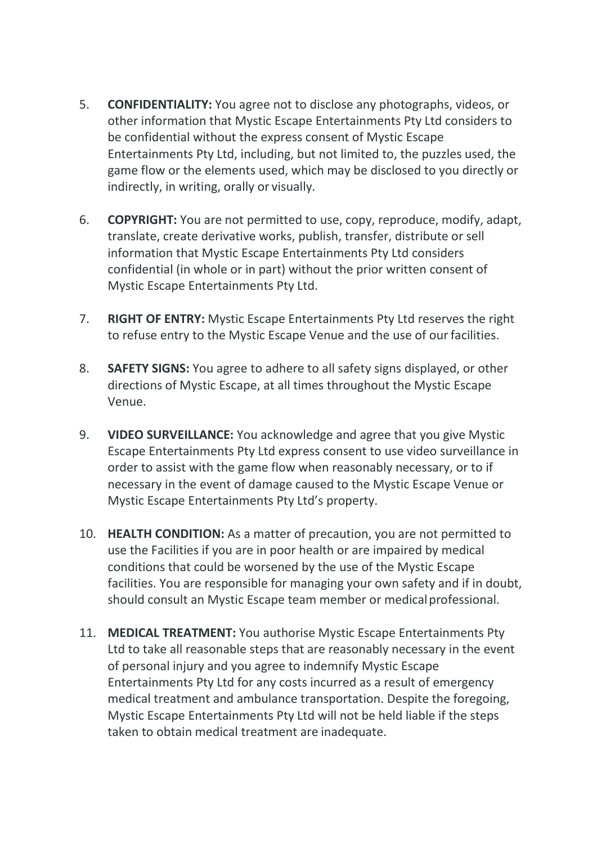- 5. **CONFIDENTIALITY:** You agree not to disclose any photographs, videos, or other information that Mystic Escape Entertainments Pty Ltd considers to be confidential without the express consent of Mystic Escape Entertainments Pty Ltd, including, but not limited to, the puzzles used, the game flow or the elements used, which may be disclosed to you directly or indirectly, in writing, orally or visually.
- 6. **COPYRIGHT:** You are not permitted to use, copy, reproduce, modify, adapt, translate, create derivative works, publish, transfer, distribute or sell information that Mystic Escape Entertainments Pty Ltd considers confidential (in whole or in part) without the prior written consent of Mystic Escape Entertainments Pty Ltd.
- 7. **RIGHT OF ENTRY:** Mystic Escape Entertainments Pty Ltd reserves the right to refuse entry to the Mystic Escape Venue and the use of our facilities.
- 8. **SAFETY SIGNS:** You agree to adhere to all safety signs displayed, or other directions of Mystic Escape, at all times throughout the Mystic Escape Venue.
- 9. **VIDEO SURVEILLANCE:** You acknowledge and agree that you give Mystic Escape Entertainments Pty Ltd express consent to use video surveillance in order to assist with the game flow when reasonably necessary, or to if necessary in the event of damage caused to the Mystic Escape Venue or Mystic Escape Entertainments Pty Ltd's property.
- 10. **HEALTH CONDITION:** As a matter of precaution, you are not permitted to use the Facilities if you are in poor health or are impaired by medical conditions that could be worsened by the use of the Mystic Escape facilities. You are responsible for managing your own safety and if in doubt, should consult an Mystic Escape team member or medical professional.
- 11. **MEDICAL TREATMENT:** You authorise Mystic Escape Entertainments Pty Ltd to take all reasonable steps that are reasonably necessary in the event of personal injury and you agree to indemnify Mystic Escape Entertainments Pty Ltd for any costs incurred as a result of emergency medical treatment and ambulance transportation. Despite the foregoing, Mystic Escape Entertainments Pty Ltd will not be held liable if the steps taken to obtain medical treatment are inadequate.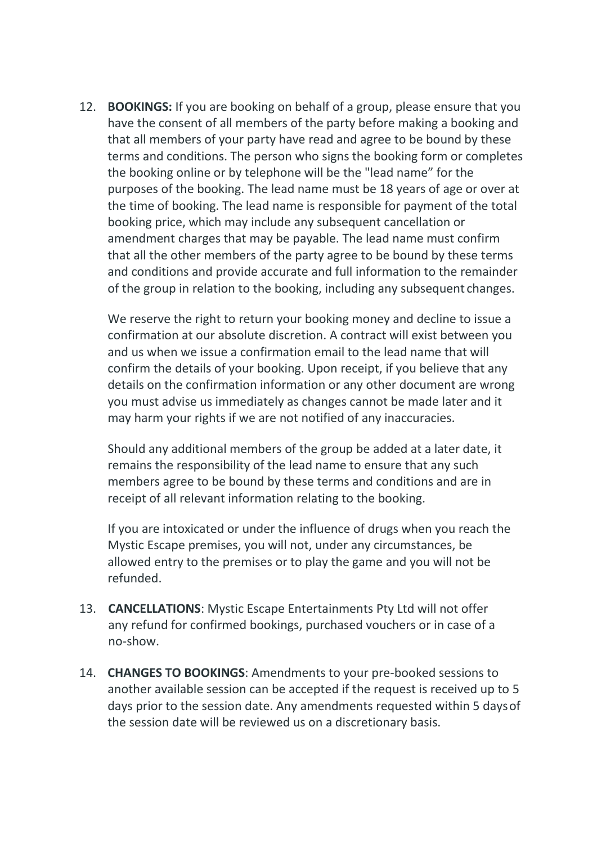12. **BOOKINGS:** If you are booking on behalf of a group, please ensure that you have the consent of all members of the party before making a booking and that all members of your party have read and agree to be bound by these terms and conditions. The person who signs the booking form or completes the booking online or by telephone will be the "lead name" for the purposes of the booking. The lead name must be 18 years of age or over at the time of booking. The lead name is responsible for payment of the total booking price, which may include any subsequent cancellation or amendment charges that may be payable. The lead name must confirm that all the other members of the party agree to be bound by these terms and conditions and provide accurate and full information to the remainder of the group in relation to the booking, including any subsequent changes.

We reserve the right to return your booking money and decline to issue a confirmation at our absolute discretion. A contract will exist between you and us when we issue a confirmation email to the lead name that will confirm the details of your booking. Upon receipt, if you believe that any details on the confirmation information or any other document are wrong you must advise us immediately as changes cannot be made later and it may harm your rights if we are not notified of any inaccuracies.

Should any additional members of the group be added at a later date, it remains the responsibility of the lead name to ensure that any such members agree to be bound by these terms and conditions and are in receipt of all relevant information relating to the booking.

If you are intoxicated or under the influence of drugs when you reach the Mystic Escape premises, you will not, under any circumstances, be allowed entry to the premises or to play the game and you will not be refunded.

- 13. **CANCELLATIONS**: Mystic Escape Entertainments Pty Ltd will not offer any refund for confirmed bookings, purchased vouchers or in case of a no-show.
- 14. **CHANGES TO BOOKINGS**: Amendments to your pre-booked sessions to another available session can be accepted if the request is received up to 5 days prior to the session date. Any amendments requested within 5 daysof the session date will be reviewed us on a discretionary basis.